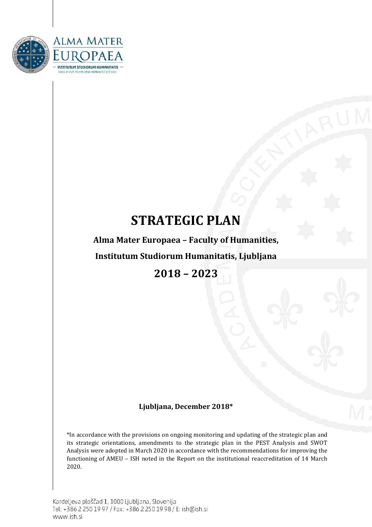

# **STRATEGIC PLAN**

**Alma Mater Europaea – Faculty of Humanities,** 

**Institutum Studiorum Humanitatis, Ljubljana**

**2018 – 2023**

### **Ljubljana, December 2018\***

\*In accordance with the provisions on ongoing monitoring and updating of the strategic plan and its strategic orientations, amendments to the strategic plan in the PEST Analysis and SWOT Analysis were adopted in March 2020 in accordance with the recommendations for improving the functioning of AMEU – ISH noted in the Report on the institutional reaccreditation of 14 March 2020.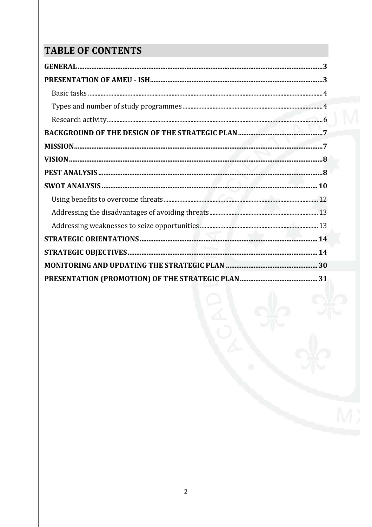# **TABLE OF CONTENTS**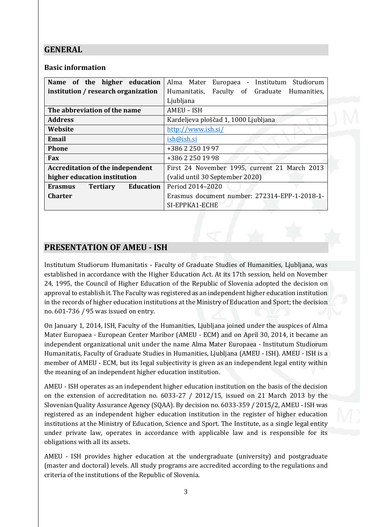## <span id="page-2-0"></span>**GENERAL**

### **Basic information**

| Name of the higher education                          | Alma Mater Europaea - Institutum Studiorum    |  |
|-------------------------------------------------------|-----------------------------------------------|--|
| institution / research organization                   | Humanitatis, Faculty of Graduate Humanities,  |  |
|                                                       | Ljubljana                                     |  |
| The abbreviation of the name                          | AMEU - ISH                                    |  |
| <b>Address</b>                                        | Kardeljeva ploščad 1, 1000 Ljubljana          |  |
| Website                                               | http://www.ish.si/                            |  |
| Email                                                 | ish@ish.si                                    |  |
| <b>Phone</b>                                          | +386 2 250 19 97                              |  |
| <b>Fax</b>                                            | +386 2 250 19 98                              |  |
| <b>Accreditation of the independent</b>               | First 24 November 1995, current 21 March 2013 |  |
| higher education institution                          | (valid until 30 September 2020)               |  |
| <b>Education</b><br><b>Erasmus</b><br><b>Tertiary</b> | Period 2014-2020                              |  |
| <b>Charter</b>                                        | Erasmus document number: 272314-EPP-1-2018-1- |  |
|                                                       | SI-EPPKA1-ECHE                                |  |

## <span id="page-2-1"></span>**PRESENTATION OF AMEU - ISH**

Institutum Studiorum Humanitatis - Faculty of Graduate Studies of Humanities, Ljubljana, was established in accordance with the Higher Education Act. At its 17th session, held on November 24, 1995, the Council of Higher Education of the Republic of Slovenia adopted the decision on approval to establish it. The Faculty was registered as an independent higher education institution in the records of higher education institutions at the Ministry of Education and Sport; the decision no. 601-736 / 95 was issued on entry.

On January 1, 2014, ISH, Faculty of the Humanities, Ljubljana joined under the auspices of Alma Mater Europaea - European Center Maribor (AMEU - ECM) and on April 30, 2014, it became an independent organizational unit under the name Alma Mater Europaea - Institutum Studiorum Humanitatis, Faculty of Graduate Studies in Humanities, Ljubljana (AMEU - ISH). AMEU - ISH is a member of AMEU - ECM, but its legal subjectivity is given as an independent legal entity within the meaning of an independent higher education institution.

AMEU - ISH operates as an independent higher education institution on the basis of the decision on the extension of accreditation no. 6033-27 / 2012/15, issued on 21 March 2013 by the Slovenian Quality Assurance Agency (SQAA). By decision no. 6033-359 / 2015/2, AMEU - ISH was registered as an independent higher education institution in the register of higher education institutions at the Ministry of Education, Science and Sport. The Institute, as a single legal entity under private law, operates in accordance with applicable law and is responsible for its obligations with all its assets.

AMEU - ISH provides higher education at the undergraduate (university) and postgraduate (master and doctoral) levels. All study programs are accredited according to the regulations and criteria of the institutions of the Republic of Slovenia.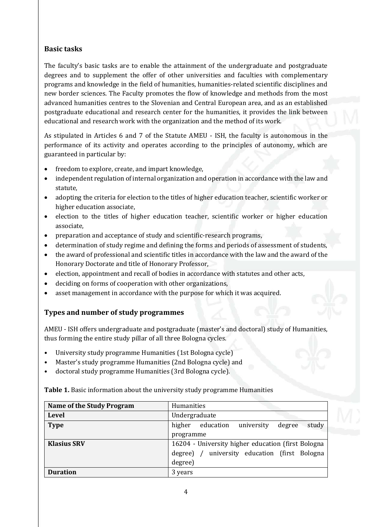### <span id="page-3-0"></span>**Basic tasks**

The faculty's basic tasks are to enable the attainment of the undergraduate and postgraduate degrees and to supplement the offer of other universities and faculties with complementary programs and knowledge in the field of humanities, humanities-related scientific disciplines and new border sciences. The Faculty promotes the flow of knowledge and methods from the most advanced humanities centres to the Slovenian and Central European area, and as an established postgraduate educational and research center for the humanities, it provides the link between educational and research work with the organization and the method of its work.

As stipulated in Articles 6 and 7 of the Statute AMEU - ISH, the faculty is autonomous in the performance of its activity and operates according to the principles of autonomy, which are guaranteed in particular by:

- freedom to explore, create, and impart knowledge,
- independent regulation of internal organization and operation in accordance with the law and statute,
- adopting the criteria for election to the titles of higher education teacher, scientific worker or higher education associate,
- election to the titles of higher education teacher, scientific worker or higher education associate,
- preparation and acceptance of study and scientific-research programs,
- determination of study regime and defining the forms and periods of assessment of students,
- the award of professional and scientific titles in accordance with the law and the award of the Honorary Doctorate and title of Honorary Professor,
- election, appointment and recall of bodies in accordance with statutes and other acts,
- deciding on forms of cooperation with other organizations,
- asset management in accordance with the purpose for which it was acquired.

### <span id="page-3-1"></span>**Types and number of study programmes**

AMEU - ISH offers undergraduate and postgraduate (master's and doctoral) study of Humanities, thus forming the entire study pillar of all three Bologna cycles.

- University study programme Humanities (1st Bologna cycle)
- Master's study programme Humanities (2nd Bologna cycle) and
- doctoral study programme Humanities (3rd Bologna cycle).

| <b>Name of the Study Program</b> | <b>Humanities</b>                                    |  |
|----------------------------------|------------------------------------------------------|--|
| <b>Level</b>                     | Undergraduate                                        |  |
| <b>Type</b>                      | study<br>higher<br>education<br>university<br>degree |  |
|                                  | programme                                            |  |
| <b>Klasius SRV</b>               | 16204 - University higher education (first Bologna   |  |
|                                  | university education (first Bologna<br>degree) /     |  |
|                                  | degree)                                              |  |
| <b>Duration</b>                  | 3 years                                              |  |

**Table 1.** Basic information about the university study programme Humanities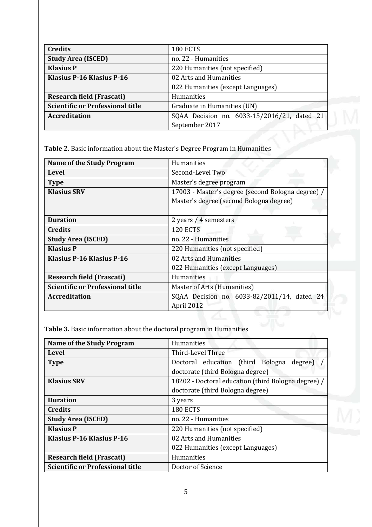| <b>Credits</b>                          | <b>180 ECTS</b>                             |  |
|-----------------------------------------|---------------------------------------------|--|
| <b>Study Area (ISCED)</b>               | no. 22 - Humanities                         |  |
| <b>Klasius P</b>                        | 220 Humanities (not specified)              |  |
| Klasius P-16 Klasius P-16               | 02 Arts and Humanities                      |  |
|                                         | 022 Humanities (except Languages)           |  |
| <b>Research field (Frascati)</b>        | Humanities                                  |  |
| <b>Scientific or Professional title</b> | Graduate in Humanities (UN)                 |  |
| <b>Accreditation</b>                    | SQAA Decision no. 6033-15/2016/21, dated 21 |  |
|                                         | September 2017                              |  |

**Table 2.** Basic information about the Master's Degree Program in Humanities

| <b>Name of the Study Program</b>        | Humanities                                        |  |
|-----------------------------------------|---------------------------------------------------|--|
| Level                                   | Second-Level Two                                  |  |
| <b>Type</b>                             | Master's degree program                           |  |
| <b>Klasius SRV</b>                      | 17003 - Master's degree (second Bologna degree) / |  |
|                                         | Master's degree (second Bologna degree)           |  |
|                                         |                                                   |  |
| <b>Duration</b>                         | 2 years / 4 semesters                             |  |
| <b>Credits</b>                          | <b>120 ECTS</b>                                   |  |
| <b>Study Area (ISCED)</b>               | no. 22 - Humanities                               |  |
| <b>Klasius P</b>                        | 220 Humanities (not specified)                    |  |
| <b>Klasius P-16 Klasius P-16</b>        | 02 Arts and Humanities                            |  |
|                                         | 022 Humanities (except Languages)                 |  |
| <b>Research field (Frascati)</b>        | Humanities                                        |  |
| <b>Scientific or Professional title</b> | Master of Arts (Humanities)                       |  |
| <b>Accreditation</b>                    | SQAA Decision no. 6033-82/2011/14, dated 24       |  |
|                                         | April 2012                                        |  |

**Table 3.** Basic information about the doctoral program in Humanities

| <b>Name of the Study Program</b>        | Humanities                                          |  |
|-----------------------------------------|-----------------------------------------------------|--|
| Level                                   | Third-Level Three                                   |  |
| <b>Type</b>                             | Doctoral education (third Bologna degree)           |  |
|                                         | doctorate (third Bologna degree)                    |  |
| <b>Klasius SRV</b>                      | 18202 - Doctoral education (third Bologna degree) / |  |
|                                         | doctorate (third Bologna degree)                    |  |
| <b>Duration</b>                         | 3 years                                             |  |
| <b>Credits</b>                          | 180 ECTS                                            |  |
| <b>Study Area (ISCED)</b>               | no. 22 - Humanities                                 |  |
| <b>Klasius P</b>                        | 220 Humanities (not specified)                      |  |
| Klasius P-16 Klasius P-16               | 02 Arts and Humanities                              |  |
|                                         | 022 Humanities (except Languages)                   |  |
| <b>Research field (Frascati)</b>        | Humanities                                          |  |
| <b>Scientific or Professional title</b> | Doctor of Science                                   |  |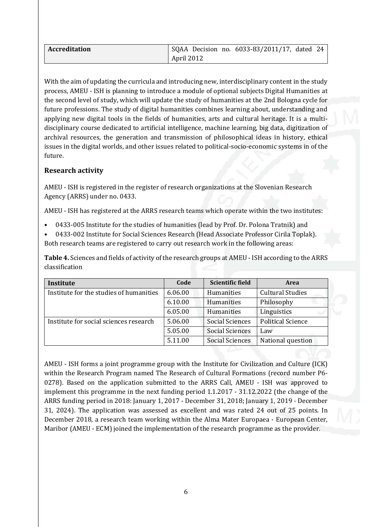| <b>Accreditation</b> |            |  | SQAA Decision no. 6033-83/2011/17, dated 24 |  |
|----------------------|------------|--|---------------------------------------------|--|
|                      | April 2012 |  |                                             |  |

With the aim of updating the curricula and introducing new, interdisciplinary content in the study process, AMEU - ISH is planning to introduce a module of optional subjects Digital Humanities at the second level of study, which will update the study of humanities at the 2nd Bologna cycle for future professions. The study of digital humanities combines learning about, understanding and applying new digital tools in the fields of humanities, arts and cultural heritage. It is a multidisciplinary course dedicated to artificial intelligence, machine learning, big data, digitization of archival resources, the generation and transmission of philosophical ideas in history, ethical issues in the digital worlds, and other issues related to political-socio-economic systems in of the future.

### <span id="page-5-0"></span>**Research activity**

AMEU - ISH is registered in the register of research organizations at the Slovenian Research Agency (ARRS) under no. 0433.

AMEU - ISH has registered at the ARRS research teams which operate within the two institutes:

- 0433-005 Institute for the studies of humanities (lead by Prof. Dr. Polona Tratnik) and
- 0433-002 Institute for Social Sciences Research (Head Associate Professor Cirila Toplak). Both research teams are registered to carry out research work in the following areas:

**Table 4.** Sciences and fields of activity of the research groups at AMEU - ISH according to the ARRS classification

| Institute                               | Code    | <b>Scientific field</b> | <b>Area</b>              |
|-----------------------------------------|---------|-------------------------|--------------------------|
| Institute for the studies of humanities | 6.06.00 | Humanities              | <b>Cultural Studies</b>  |
|                                         | 6.10.00 | Humanities              | Philosophy               |
|                                         | 6.05.00 | Humanities              | Linguistics              |
| Institute for social sciences research  | 5.06.00 | <b>Social Sciences</b>  | <b>Political Science</b> |
|                                         | 5.05.00 | <b>Social Sciences</b>  | Law                      |
|                                         | 5.11.00 | <b>Social Sciences</b>  | National question        |

AMEU - ISH forms a joint programme group with the Institute for Civilization and Culture (ICK) within the Research Program named The Research of Cultural Formations (record number P6- 0278). Based on the application submitted to the ARRS Call, AMEU - ISH was approved to implement this programme in the next funding period 1.1.2017 - 31.12.2022 (the change of the ARRS funding period in 2018: January 1, 2017 - December 31, 2018; January 1, 2019 - December 31, 2024). The application was assessed as excellent and was rated 24 out of 25 points. In December 2018, a research team working within the Alma Mater Europaea - European Center, Maribor (AMEU - ECM) joined the implementation of the research programme as the provider.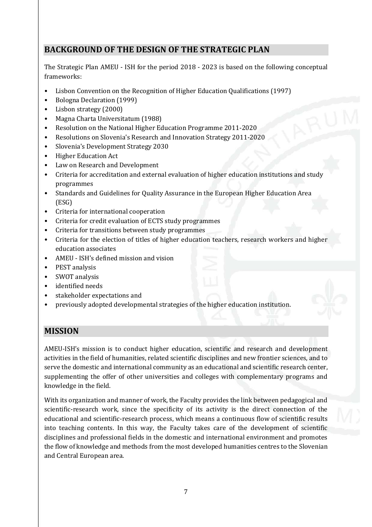# <span id="page-6-0"></span>**BACKGROUND OF THE DESIGN OF THE STRATEGIC PLAN**

The Strategic Plan AMEU - ISH for the period 2018 - 2023 is based on the following conceptual frameworks:

- Lisbon Convention on the Recognition of Higher Education Qualifications (1997)
- Bologna Declaration (1999)
- Lisbon strategy (2000)
- Magna Charta Universitatum (1988)
- Resolution on the National Higher Education Programme 2011-2020
- Resolutions on Slovenia's Research and Innovation Strategy 2011-2020
- Slovenia's Development Strategy 2030
- Higher Education Act
- Law on Research and Development
- Criteria for accreditation and external evaluation of higher education institutions and study programmes
- Standards and Guidelines for Quality Assurance in the European Higher Education Area (ESG)
- Criteria for international cooperation
- Criteria for credit evaluation of ECTS study programmes
- Criteria for transitions between study programmes
- Criteria for the election of titles of higher education teachers, research workers and higher education associates
- AMEU ISH's defined mission and vision
- PEST analysis
- SWOT analysis
- identified needs
- stakeholder expectations and
- previously adopted developmental strategies of the higher education institution.

### <span id="page-6-1"></span>**MISSION**

AMEU-ISH's mission is to conduct higher education, scientific and research and development activities in the field of humanities, related scientific disciplines and new frontier sciences, and to serve the domestic and international community as an educational and scientific research center, supplementing the offer of other universities and colleges with complementary programs and knowledge in the field.

With its organization and manner of work, the Faculty provides the link between pedagogical and scientific-research work, since the specificity of its activity is the direct connection of the educational and scientific-research process, which means a continuous flow of scientific results into teaching contents. In this way, the Faculty takes care of the development of scientific disciplines and professional fields in the domestic and international environment and promotes the flow of knowledge and methods from the most developed humanities centres to the Slovenian and Central European area.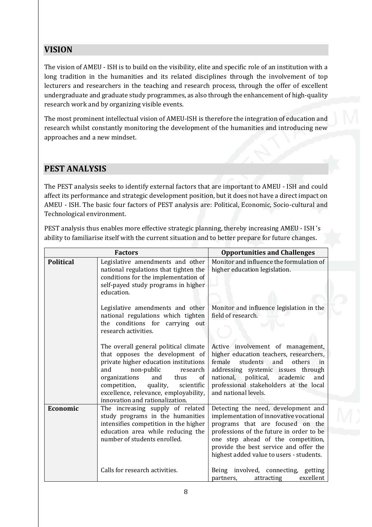# <span id="page-7-0"></span>**VISION**

The vision of AMEU - ISH is to build on the visibility, elite and specific role of an institution with a long tradition in the humanities and its related disciplines through the involvement of top lecturers and researchers in the teaching and research process, through the offer of excellent undergraduate and graduate study programmes, as also through the enhancement of high-quality research work and by organizing visible events.

The most prominent intellectual vision of AMEU-ISH is therefore the integration of education and research whilst constantly monitoring the development of the humanities and introducing new approaches and a new mindset.

## <span id="page-7-1"></span>**PEST ANALYSIS**

The PEST analysis seeks to identify external factors that are important to AMEU - ISH and could affect its performance and strategic development position, but it does not have a direct impact on AMEU - ISH. The basic four factors of PEST analysis are: Political, Economic, Socio-cultural and Technological environment.

PEST analysis thus enables more effective strategic planning, thereby increasing AMEU - ISH 's ability to familiarise itself with the current situation and to better prepare for future changes.

|                  | <b>Factors</b>                                                                                                                                                                                                                                                                                                 | <b>Opportunities and Challenges</b>                                                                                                                                                                                                                                                        |
|------------------|----------------------------------------------------------------------------------------------------------------------------------------------------------------------------------------------------------------------------------------------------------------------------------------------------------------|--------------------------------------------------------------------------------------------------------------------------------------------------------------------------------------------------------------------------------------------------------------------------------------------|
| <b>Political</b> | Legislative amendments and other<br>national regulations that tighten the<br>conditions for the implementation of<br>self-payed study programs in higher<br>education.                                                                                                                                         | Monitor and influence the formulation of<br>higher education legislation.                                                                                                                                                                                                                  |
|                  | Legislative amendments and other<br>national regulations which tighten<br>the conditions for carrying out<br>research activities.                                                                                                                                                                              | Monitor and influence legislation in the<br>field of research.                                                                                                                                                                                                                             |
|                  | The overall general political climate<br>that opposes the development of<br>private higher education institutions<br>and<br>non-public<br>research<br>organizations<br>and<br>thus<br>of<br>quality,<br>competition,<br>scientific<br>excellence, relevance, employability,<br>innovation and rationalization. | Active involvement of management,<br>higher education teachers, researchers,<br>female<br>students<br>others<br>and<br>in<br>addressing systemic issues through<br>national, political, academic<br>and<br>professional stakeholders at the local<br>and national levels.                  |
| Economic         | The increasing supply of related<br>study programs in the humanities<br>intensifies competition in the higher<br>education area while reducing the<br>number of students enrolled.                                                                                                                             | Detecting the need, development and<br>implementation of innovative vocational<br>programs that are focused on the<br>professions of the future in order to be<br>one step ahead of the competition,<br>provide the best service and offer the<br>highest added value to users - students. |
|                  | Calls for research activities.                                                                                                                                                                                                                                                                                 | Being involved, connecting, getting<br>excellent<br>attracting<br>partners,                                                                                                                                                                                                                |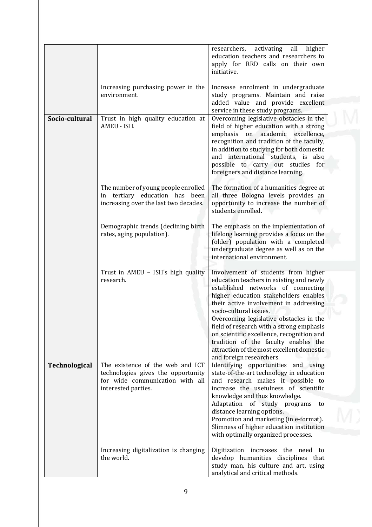|                |                                                                                                                                  | researchers, activating<br>all<br>higher<br>education teachers and researchers to<br>apply for RRD calls on their own<br>initiative.                                                                                                                                                                                                                                                                                                                                                    |
|----------------|----------------------------------------------------------------------------------------------------------------------------------|-----------------------------------------------------------------------------------------------------------------------------------------------------------------------------------------------------------------------------------------------------------------------------------------------------------------------------------------------------------------------------------------------------------------------------------------------------------------------------------------|
|                | Increasing purchasing power in the<br>environment.                                                                               | Increase enrolment in undergraduate<br>study programs. Maintain and raise<br>added value and provide excellent<br>service in these study programs.                                                                                                                                                                                                                                                                                                                                      |
| Socio-cultural | Trust in high quality education at<br>AMEU - ISH.                                                                                | Overcoming legislative obstacles in the<br>field of higher education with a strong<br>emphasis on academic excellence,<br>recognition and tradition of the faculty,<br>in addition to studying for both domestic<br>and international students, is also<br>possible to carry out studies for<br>foreigners and distance learning.                                                                                                                                                       |
|                | The number of young people enrolled<br>in tertiary education has been<br>increasing over the last two decades.                   | The formation of a humanities degree at<br>all three Bologna levels provides an<br>opportunity to increase the number of<br>students enrolled.                                                                                                                                                                                                                                                                                                                                          |
|                | Demographic trends (declining birth<br>rates, aging population).                                                                 | The emphasis on the implementation of<br>lifelong learning provides a focus on the<br>(older) population with a completed<br>undergraduate degree as well as on the<br>international environment.                                                                                                                                                                                                                                                                                       |
|                | Trust in AMEU - ISH's high quality<br>research.                                                                                  | Involvement of students from higher<br>education teachers in existing and newly<br>established networks of connecting<br>higher education stakeholders enables<br>their active involvement in addressing<br>socio-cultural issues.<br>Overcoming legislative obstacles in the<br>field of research with a strong emphasis<br>on scientific excellence, recognition and<br>tradition of the faculty enables the<br>attraction of the most excellent domestic<br>and foreign researchers. |
| Technological  | The existence of the web and ICT<br>technologies gives the opportunity<br>for wide communication with all<br>interested parties. | Identifying opportunities and using<br>state-of-the-art technology in education<br>and research makes it possible to<br>increase the usefulness of scientific<br>knowledge and thus knowledge.<br>Adaptation of study programs<br>to<br>distance learning options.<br>Promotion and marketing (in e-format).<br>Slimness of higher education institution<br>with optimally organized processes.                                                                                         |
|                | Increasing digitalization is changing<br>the world.                                                                              | Digitization increases the need to<br>develop humanities disciplines that<br>study man, his culture and art, using<br>analytical and critical methods.                                                                                                                                                                                                                                                                                                                                  |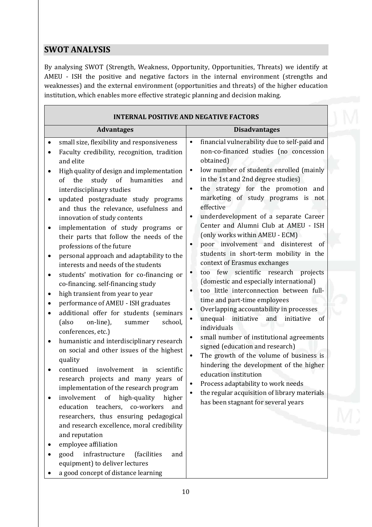# <span id="page-9-0"></span>**SWOT ANALYSIS**

 $\mathbf{r}$ 

By analysing SWOT (Strength, Weakness, Opportunity, Opportunities, Threats) we identify at AMEU - ISH the positive and negative factors in the internal environment (strengths and weaknesses) and the external environment (opportunities and threats) of the higher education institution, which enables more effective strategic planning and decision making.

| financial vulnerability due to self-paid and<br>small size, flexibility and responsiveness<br>$\bullet$<br>non-co-financed studies (no concession<br>Faculty credibility, recognition, tradition<br>obtained)<br>and elite<br>low number of students enrolled (mainly<br>$\bullet$<br>High quality of design and implementation<br>in the 1st and 2nd degree studies)<br>study of humanities<br>the<br>of<br>and<br>the strategy for the promotion and<br>$\bullet$<br>interdisciplinary studies<br>marketing of study programs is not<br>updated postgraduate study programs<br>effective<br>and thus the relevance, usefulness and<br>underdevelopment of a separate Career<br>$\bullet$<br>innovation of study contents<br>Center and Alumni Club at AMEU - ISH<br>implementation of study programs or<br>(only works within AMEU - ECM)<br>their parts that follow the needs of the<br>poor involvement and disinterest of<br>$\bullet$<br>professions of the future<br>students in short-term mobility in the<br>personal approach and adaptability to the<br>context of Erasmus exchanges<br>interests and needs of the students<br>few scientific research projects<br>too<br>$\bullet$<br>students' motivation for co-financing or<br>(domestic and especially international)<br>co-financing. self-financing study<br>too little interconnection between full-<br>$\bullet$<br>high transient from year to year<br>time and part-time employees<br>performance of AMEU - ISH graduates<br>Overlapping accountability in processes<br>$\bullet$<br>additional offer for students (seminars<br>unequal initiative<br>and<br>initiative<br>of<br>$\bullet$<br>on-line),<br>(also<br>school,<br>summer<br>individuals<br>conferences, etc.)<br>small number of institutional agreements<br>$\bullet$<br>humanistic and interdisciplinary research<br>signed (education and research)<br>on social and other issues of the highest<br>The growth of the volume of business is<br>$\bullet$<br>quality<br>hindering the development of the higher<br>involvement<br>continued<br>scientific<br>in<br>education institution<br>research projects and many years of<br>Process adaptability to work needs<br>implementation of the research program<br>the regular acquisition of library materials<br>high-quality<br>involvement<br>of<br>higher<br>has been stagnant for several years<br>education teachers, co-workers<br>and<br>researchers, thus ensuring pedagogical<br>and research excellence, moral credibility |                                                                       |  |
|-----------------------------------------------------------------------------------------------------------------------------------------------------------------------------------------------------------------------------------------------------------------------------------------------------------------------------------------------------------------------------------------------------------------------------------------------------------------------------------------------------------------------------------------------------------------------------------------------------------------------------------------------------------------------------------------------------------------------------------------------------------------------------------------------------------------------------------------------------------------------------------------------------------------------------------------------------------------------------------------------------------------------------------------------------------------------------------------------------------------------------------------------------------------------------------------------------------------------------------------------------------------------------------------------------------------------------------------------------------------------------------------------------------------------------------------------------------------------------------------------------------------------------------------------------------------------------------------------------------------------------------------------------------------------------------------------------------------------------------------------------------------------------------------------------------------------------------------------------------------------------------------------------------------------------------------------------------------------------------------------------------------------------------------------------------------------------------------------------------------------------------------------------------------------------------------------------------------------------------------------------------------------------------------------------------------------------------------------------------------------------------------------------------------------------------------------------------------------------------------------------------------------------|-----------------------------------------------------------------------|--|
|                                                                                                                                                                                                                                                                                                                                                                                                                                                                                                                                                                                                                                                                                                                                                                                                                                                                                                                                                                                                                                                                                                                                                                                                                                                                                                                                                                                                                                                                                                                                                                                                                                                                                                                                                                                                                                                                                                                                                                                                                                                                                                                                                                                                                                                                                                                                                                                                                                                                                                                             |                                                                       |  |
|                                                                                                                                                                                                                                                                                                                                                                                                                                                                                                                                                                                                                                                                                                                                                                                                                                                                                                                                                                                                                                                                                                                                                                                                                                                                                                                                                                                                                                                                                                                                                                                                                                                                                                                                                                                                                                                                                                                                                                                                                                                                                                                                                                                                                                                                                                                                                                                                                                                                                                                             |                                                                       |  |
|                                                                                                                                                                                                                                                                                                                                                                                                                                                                                                                                                                                                                                                                                                                                                                                                                                                                                                                                                                                                                                                                                                                                                                                                                                                                                                                                                                                                                                                                                                                                                                                                                                                                                                                                                                                                                                                                                                                                                                                                                                                                                                                                                                                                                                                                                                                                                                                                                                                                                                                             |                                                                       |  |
| employee affiliation<br>infrastructure<br>good<br>(facilities<br>and                                                                                                                                                                                                                                                                                                                                                                                                                                                                                                                                                                                                                                                                                                                                                                                                                                                                                                                                                                                                                                                                                                                                                                                                                                                                                                                                                                                                                                                                                                                                                                                                                                                                                                                                                                                                                                                                                                                                                                                                                                                                                                                                                                                                                                                                                                                                                                                                                                                        | equipment) to deliver lectures<br>a good concept of distance learning |  |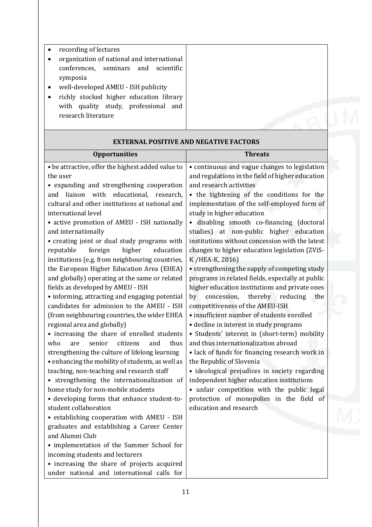• recording of lectures • organization of national and international conferences, seminars and scientific symposia • well-developed AMEU - ISH publicity • richly stocked higher education library with quality study, professional and research literature

| <b>Opportunities</b>                                          | <b>Threats</b>                                   |
|---------------------------------------------------------------|--------------------------------------------------|
| • be attractive, offer the highest added value to             | • continuous and vague changes to legislation    |
| the user                                                      | and regulations in the field of higher education |
| • expanding and strengthening cooperation                     | and research activities                          |
| liaison with educational, research,<br>and                    | • the tightening of the conditions for the       |
| cultural and other institutions at national and               | implementation of the self-employed form of      |
| international level                                           | study in higher education                        |
| • active promotion of AMEU - ISH nationally                   | · disabling smooth co-financing (doctoral        |
| and internationally                                           | studies) at non-public higher education          |
| • creating joint or dual study programs with                  | institutions without concession with the latest  |
| foreign<br>reputable<br>higher<br>education                   | changes to higher education legislation (ZViS-   |
| institutions (e.g. from neighbouring countries,               | K / HEA-K, 2016)                                 |
| the European Higher Education Area (EHEA)                     | • strengthening the supply of competing study    |
| and globally) operating at the same or related                | programs in related fields, especially at public |
| fields as developed by AMEU - ISH                             | higher education institutions and private ones   |
| • informing, attracting and engaging potential                | concession,<br>thereby reducing<br>by<br>the     |
| candidates for admission to the AMEU - ISH                    | competitiveness of the AMEU-ISH                  |
| (from neighbouring countries, the wider EHEA                  | · insufficient number of students enrolled       |
| regional area and globally)                                   | • decline in interest in study programs          |
| • increasing the share of enrolled students                   | • Students' interest in (short-term) mobility    |
| who<br>thus<br>senior<br>citizens<br>and<br>are               | and thus internationalization abroad             |
| strengthening the culture of lifelong learning                | • lack of funds for financing research work in   |
| • enhancing the mobility of students, as well as              | the Republic of Slovenia                         |
| teaching, non-teaching and research staff                     | · ideological prejudices in society regarding    |
| • strengthening the internationalization of                   | independent higher education institutions        |
| home study for non-mobile students                            | • unfair competition with the public legal       |
| • developing forms that enhance student-to-                   | protection of monopolies in the field of         |
| student collaboration                                         | education and research                           |
| • establishing cooperation with AMEU - ISH                    |                                                  |
| graduates and establishing a Career Center<br>and Alumni Club |                                                  |
|                                                               |                                                  |
| • implementation of the Summer School for                     |                                                  |
| incoming students and lecturers                               |                                                  |
| • increasing the share of projects acquired                   |                                                  |
| under national and international calls for                    |                                                  |

### **EXTERNAL POSITIVE AND NEGATIVE FACTORS**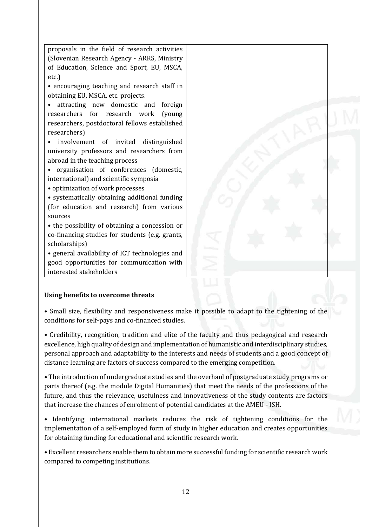proposals in the field of research activities (Slovenian Research Agency - ARRS, Ministry of Education, Science and Sport, EU, MSCA, etc.) • encouraging teaching and research staff in obtaining EU, MSCA, etc. projects. • attracting new domestic and foreign researchers for research work (young researchers, postdoctoral fellows established researchers) • involvement of invited distinguished university professors and researchers from abroad in the teaching process • organisation of conferences (domestic, international) and scientific symposia • optimization of work processes • systematically obtaining additional funding (for education and research) from various sources • the possibility of obtaining a concession or co-financing studies for students (e.g. grants, scholarships) • general availability of ICT technologies and good opportunities for communication with interested stakeholders

#### <span id="page-11-0"></span>**Using benefits to overcome threats**

• Small size, flexibility and responsiveness make it possible to adapt to the tightening of the conditions for self-pays and co-financed studies.

• Credibility, recognition, tradition and elite of the faculty and thus pedagogical and research excellence, high quality of design and implementation of humanistic and interdisciplinary studies, personal approach and adaptability to the interests and needs of students and a good concept of distance learning are factors of success compared to the emerging competition.

• The introduction of undergraduate studies and the overhaul of postgraduate study programs or parts thereof (e.g. the module Digital Humanities) that meet the needs of the professions of the future, and thus the relevance, usefulness and innovativeness of the study contents are factors that increase the chances of enrolment of potential candidates at the AMEU - ISH.

• Identifying international markets reduces the risk of tightening conditions for the implementation of a self-employed form of study in higher education and creates opportunities for obtaining funding for educational and scientific research work.

• Excellent researchers enable them to obtain more successful funding for scientific research work compared to competing institutions.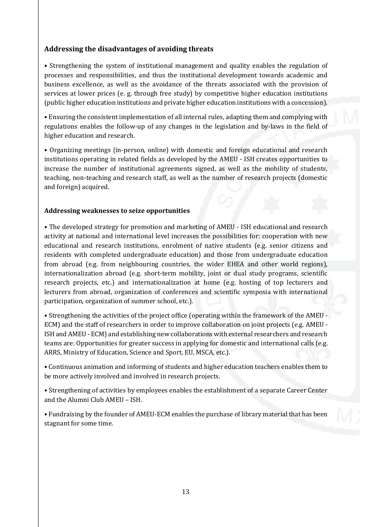### <span id="page-12-0"></span>**Addressing the disadvantages of avoiding threats**

• Strengthening the system of institutional management and quality enables the regulation of processes and responsibilities, and thus the institutional development towards academic and business excellence, as well as the avoidance of the threats associated with the provision of services at lower prices (e. g. through free study) by competitive higher education institutions (public higher education institutions and private higher education institutions with a concession).

• Ensuring the consistent implementation of all internal rules, adapting them and complying with regulations enables the follow-up of any changes in the legislation and by-laws in the field of higher education and research.

• Organizing meetings (in-person, online) with domestic and foreign educational and research institutions operating in related fields as developed by the AMEU - ISH creates opportunities to increase the number of institutional agreements signed, as well as the mobility of students, teaching, non-teaching and research staff, as well as the number of research projects (domestic and foreign) acquired.

#### <span id="page-12-1"></span>**Addressing weaknesses to seize opportunities**

• The developed strategy for promotion and marketing of AMEU - ISH educational and research activity at national and international level increases the possibilities for: cooperation with new educational and research institutions, enrolment of native students (e.g. senior citizens and residents with completed undergraduate education) and those from undergraduate education from abroad (e.g. from neighbouring countries, the wider EHEA and other world regions), internationalization abroad (e.g. short-term mobility, joint or dual study programs, scientific research projects, etc.) and internationalization at home (e.g. hosting of top lecturers and lecturers from abroad, organization of conferences and scientific symposia with international participation, organization of summer school, etc.).

• Strengthening the activities of the project office (operating within the framework of the AMEU - ECM) and the staff of researchers in order to improve collaboration on joint projects (e.g. AMEU - ISH and AMEU - ECM) and establishing new collaborations with external researchers and research teams are: Opportunities for greater success in applying for domestic and international calls (e.g. ARRS, Ministry of Education, Science and Sport, EU, MSCA, etc.).

• Continuous animation and informing of students and higher education teachers enables them to be more actively involved and involved in research projects.

• Strengthening of activities by employees enables the establishment of a separate Career Center and the Alumni Club AMEU – ISH.

• Fundraising by the founder of AMEU-ECM enables the purchase of library material that has been stagnant for some time.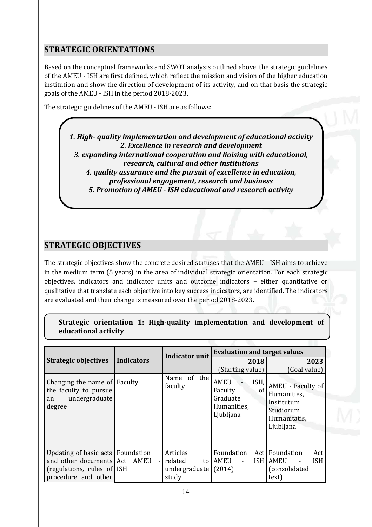# <span id="page-13-0"></span>**STRATEGIC ORIENTATIONS**

Based on the conceptual frameworks and SWOT analysis outlined above, the strategic guidelines of the AMEU - ISH are first defined, which reflect the mission and vision of the higher education institution and show the direction of development of its activity, and on that basis the strategic goals of the AMEU - ISH in the period 2018-2023.

The strategic guidelines of the AMEU - ISH are as follows:

*1. High- quality implementation and development of educational activity 2. Excellence in research and development 3. expanding international cooperation and liaising with educational, research, cultural and other institutions 4. quality assurance and the pursuit of excellence in education, professional engagement, research and business 5. Promotion of AMEU - ISH educational and research activity*

## <span id="page-13-1"></span>**STRATEGIC OBJECTIVES**

The strategic objectives show the concrete desired statuses that the AMEU - ISH aims to achieve in the medium term (5 years) in the area of individual strategic orientation. For each strategic objectives, indicators and indicator units and outcome indicators – either quantitative or qualitative that translate each objective into key success indicators, are identified. The indicators are evaluated and their change is measured over the period 2018-2023.

|                      |  | Strategic orientation 1: High-quality implementation and development of |  |  |
|----------------------|--|-------------------------------------------------------------------------|--|--|
| educational activity |  |                                                                         |  |  |

|                                                                                                                     |                   | <b>Indicator unit</b>                               | <b>Evaluation and target values</b>                                          |                                                                                          |  |
|---------------------------------------------------------------------------------------------------------------------|-------------------|-----------------------------------------------------|------------------------------------------------------------------------------|------------------------------------------------------------------------------------------|--|
| <b>Strategic objectives</b>                                                                                         | <b>Indicators</b> |                                                     | 2018                                                                         | 2023                                                                                     |  |
|                                                                                                                     |                   |                                                     | (Starting value)                                                             | (Goal value)                                                                             |  |
| Changing the name of Faculty<br>the faculty to pursue<br>undergraduate<br>an<br>degree                              |                   | Name of the<br>faculty                              | <b>AMEU</b><br>ISH,<br>Faculty<br>of<br>Graduate<br>Humanities,<br>Ljubljana | AMEU - Faculty of<br>Humanities,<br>Institutum<br>Studiorum<br>Humanitatis,<br>Ljubljana |  |
| Updating of basic acts   Foundation<br>and other documents Act<br>(regulations, rules of ISH<br>procedure and other | AMEU              | Articles<br>related<br>to<br>undergraduate<br>study | Foundation<br>AMEU<br>(2014)                                                 | Act Foundation<br>Act<br><b>ISH LAMEU</b><br><b>ISH</b><br>(consolidated<br>text)        |  |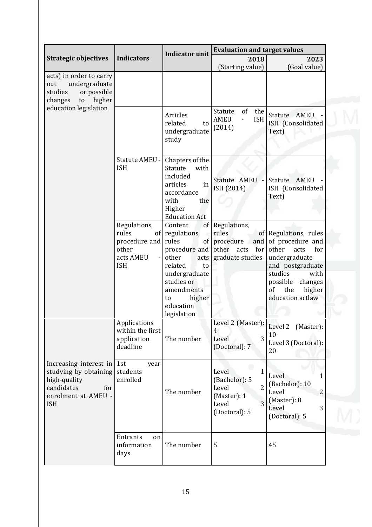|                                                                                                                                 |                                                                                                              | <b>Indicator unit</b>                                                                                                                                                                               | <b>Evaluation and target values</b>                                                     |                                                                                                                                                                                             |  |
|---------------------------------------------------------------------------------------------------------------------------------|--------------------------------------------------------------------------------------------------------------|-----------------------------------------------------------------------------------------------------------------------------------------------------------------------------------------------------|-----------------------------------------------------------------------------------------|---------------------------------------------------------------------------------------------------------------------------------------------------------------------------------------------|--|
| <b>Strategic objectives</b>                                                                                                     | <b>Indicators</b>                                                                                            |                                                                                                                                                                                                     | 2018<br>(Starting value)                                                                | 2023<br>(Goal value)                                                                                                                                                                        |  |
| acts) in order to carry<br>undergraduate<br>out<br>studies<br>or possible<br>higher<br>changes<br>to<br>education legislation   |                                                                                                              |                                                                                                                                                                                                     |                                                                                         |                                                                                                                                                                                             |  |
|                                                                                                                                 |                                                                                                              | <b>Articles</b><br>related<br>to<br>undergraduate<br>study                                                                                                                                          | Statute<br>of<br>the<br><b>ISH</b><br><b>AMEU</b><br>$\blacksquare$<br>(2014)           | Statute AMEU<br>ISH (Consolidated<br>Text)                                                                                                                                                  |  |
|                                                                                                                                 | Statute AMEU -<br><b>ISH</b>                                                                                 | Chapters of the<br>Statute<br>with<br>included<br>articles<br>in<br>accordance<br>with<br>the<br>Higher<br><b>Education Act</b>                                                                     | Statute AMEU<br>ISH (2014)                                                              | Statute AMEU<br>ISH (Consolidated<br>Text)                                                                                                                                                  |  |
|                                                                                                                                 | Regulations,<br>rules<br>of<br>procedure and<br>other<br>acts AMEU<br>$\overline{\phantom{a}}$<br><b>ISH</b> | Content<br><sub>of</sub><br>regulations,<br>rules<br>of<br>procedure and<br>other<br>acts<br>related<br>to<br>undergraduate<br>studies or<br>amendments<br>higher<br>to<br>education<br>legislation | Regulations,<br>rules<br>procedure<br>and<br>other<br>acts<br>for  <br>graduate studies | of Regulations, rules<br>of procedure and<br>other<br>acts<br>for<br>undergraduate<br>and postgraduate<br>studies<br>with<br>possible<br>changes<br>the<br>of<br>higher<br>education actlaw |  |
|                                                                                                                                 | Applications<br>within the first<br>application<br>deadline                                                  | The number                                                                                                                                                                                          | Level 2 (Master):<br>4<br>3<br>Level<br>(Doctoral): 7                                   | Level 2<br>(Master):<br>10<br>Level 3 (Doctoral):<br>20                                                                                                                                     |  |
| Increasing interest in $1st$<br>studying by obtaining<br>high-quality<br>candidates<br>for<br>enrolment at AMEU -<br><b>ISH</b> | year<br>students<br>enrolled                                                                                 | The number                                                                                                                                                                                          | Level<br>1<br>(Bachelor): 5<br>Level<br>2<br>(Master): 1<br>3<br>Level<br>(Doctoral): 5 | Level<br>1<br>(Bachelor): 10<br>Level<br>$\overline{2}$<br>(Master): 8<br>3<br>Level<br>(Doctoral): 5                                                                                       |  |
|                                                                                                                                 | Entrants<br>on<br>information<br>days                                                                        | The number                                                                                                                                                                                          | 5                                                                                       | 45                                                                                                                                                                                          |  |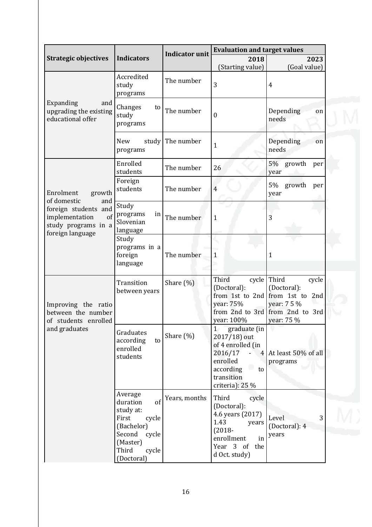|                                                                                                                                      |                                                                                                                                       | <b>Indicator unit</b> | <b>Evaluation and target values</b>                                                                                                                              |                                                                                                                  |  |
|--------------------------------------------------------------------------------------------------------------------------------------|---------------------------------------------------------------------------------------------------------------------------------------|-----------------------|------------------------------------------------------------------------------------------------------------------------------------------------------------------|------------------------------------------------------------------------------------------------------------------|--|
| <b>Strategic objectives</b>                                                                                                          | <b>Indicators</b>                                                                                                                     |                       | 2018                                                                                                                                                             | 2023                                                                                                             |  |
|                                                                                                                                      | Accredited<br>study<br>programs                                                                                                       | The number            | (Starting value)<br>3                                                                                                                                            | (Goal value)<br>$\overline{4}$                                                                                   |  |
| Expanding<br>and<br>upgrading the existing<br>educational offer                                                                      | Changes<br>to<br>study<br>programs                                                                                                    | The number            | 0                                                                                                                                                                | Depending<br>on<br>needs                                                                                         |  |
|                                                                                                                                      | <b>New</b><br>study<br>programs                                                                                                       | The number            | $\mathbf{1}$                                                                                                                                                     | Depending<br>on<br>needs                                                                                         |  |
|                                                                                                                                      | Enrolled<br>students                                                                                                                  | The number            | 26                                                                                                                                                               | 5%<br>growth<br>per<br>year                                                                                      |  |
| Enrolment<br>growth<br>of domestic<br>and<br>foreign students and<br>of<br>implementation<br>study programs in a<br>foreign language | Foreign<br>students                                                                                                                   | The number            | $\overline{4}$                                                                                                                                                   | 5%<br>growth<br>per<br>year                                                                                      |  |
|                                                                                                                                      | Study<br>programs<br>in<br>Slovenian<br>language                                                                                      | The number            | $\mathbf{1}$                                                                                                                                                     | 3                                                                                                                |  |
|                                                                                                                                      | Study<br>programs in a<br>foreign<br>language                                                                                         | The number            | 1                                                                                                                                                                | $\mathbf{1}$                                                                                                     |  |
| Improving the ratio<br>between the number<br>of students enrolled<br>and graduates                                                   | Transition<br>between years                                                                                                           | Share (%)             | Third<br>cycle<br>(Doctoral):<br>from 1st to 2nd<br>year: 75%<br>year: 100%                                                                                      | Third<br>cycle<br>(Doctoral):<br>from 1st to 2nd<br>year: 7 5 %<br>from 2nd to 3rd from 2nd to 3rd<br>year: 75 % |  |
|                                                                                                                                      | Graduates<br>according<br>to<br>enrolled<br>students                                                                                  | Share $(\%)$          | graduate (in<br>$1\overline{ }$<br>2017/18) out<br>of 4 enrolled (in<br>2016/17<br>$\omega$<br>enrolled<br>۰<br>according<br>to<br>transition<br>criteria): 25 % | 4 At least 50% of all<br>programs                                                                                |  |
|                                                                                                                                      | Average<br>duration<br>of<br>study at:<br>First<br>cycle<br>(Bachelor)<br>Second<br>cycle<br>(Master)<br>Third<br>cycle<br>(Doctoral) | Years, months         | Third<br>cycle<br>(Doctoral):<br>4.6 years (2017)<br>1.43<br>years<br>$(2018 -$<br>enrollment<br>in<br>Year 3 of<br>the<br>d Oct. study)                         | 3<br>Level<br>(Doctoral): 4<br>years                                                                             |  |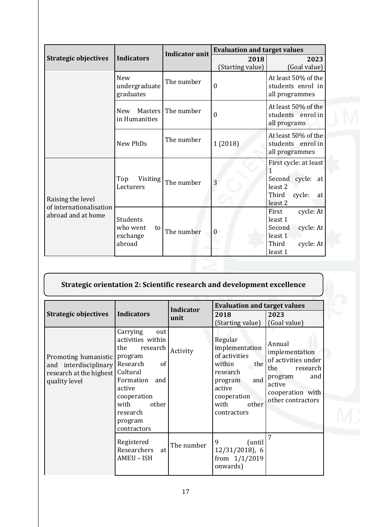|                                               |                                                  | <b>Indicator unit</b> | <b>Evaluation and target values</b> |                                                                                                                        |  |
|-----------------------------------------------|--------------------------------------------------|-----------------------|-------------------------------------|------------------------------------------------------------------------------------------------------------------------|--|
| <b>Strategic objectives</b>                   | <b>Indicators</b>                                |                       | 2018                                | 2023                                                                                                                   |  |
|                                               |                                                  |                       | (Starting value)                    | (Goal value)                                                                                                           |  |
|                                               | <b>New</b><br>undergraduate<br>graduates         | The number            | $\mathbf{0}$                        | At least 50% of the<br>students enrol in<br>all programmes                                                             |  |
|                                               | <b>Masters</b><br><b>New</b><br>in Humanities    | The number            | $\mathbf{0}$                        | At least 50% of the<br>students enrol in<br>all programs                                                               |  |
|                                               | New PhDs                                         | The number            | 1 (2018)                            | At least 50% of the<br>students enrol in<br>all programmes                                                             |  |
| Raising the level                             | Top<br>Visiting<br>Lecturers                     | The number            | 3                                   | First cycle: at least<br>1<br>Second cycle:<br>at<br>least <sub>2</sub><br>Third<br>cycle:<br>at<br>least <sub>2</sub> |  |
| of internationalisation<br>abroad and at home | Students<br>who went<br>to<br>exchange<br>abroad | The number            | $\overline{0}$                      | First<br>cycle: At<br>least 1<br>Second<br>cycle: At<br>least 1<br>Third<br>cycle: At<br>least 1                       |  |

| Strategic orientation 2: Scientific research and development excellence |  |
|-------------------------------------------------------------------------|--|
|                                                                         |  |

|                                                                                           |                                                                                                                                                                                                      | <b>Indicator</b> | <b>Evaluation and target values</b>                                                                                                                |                                                                                                                                         |  |
|-------------------------------------------------------------------------------------------|------------------------------------------------------------------------------------------------------------------------------------------------------------------------------------------------------|------------------|----------------------------------------------------------------------------------------------------------------------------------------------------|-----------------------------------------------------------------------------------------------------------------------------------------|--|
| <b>Strategic objectives</b>                                                               | <b>Indicators</b>                                                                                                                                                                                    | unit             | 2018<br>(Starting value)                                                                                                                           | 2023<br>(Goal value)                                                                                                                    |  |
| Promoting humanistic<br>and interdisciplinary<br>research at the highest<br>quality level | Carrying<br>out<br>activities within<br>research<br>the<br>program<br>Research<br>of<br>Cultural<br>Formation<br>and<br>active<br>cooperation<br>with<br>other<br>research<br>program<br>contractors | Activity         | Regular<br>implementation<br>of activities<br>within<br>the<br>research<br>and<br>program<br>active<br>cooperation<br>with<br>other<br>contractors | Annual<br>implementation<br>of activities under<br>the<br>research<br>and<br>program<br>active<br>cooperation with<br>other contractors |  |
|                                                                                           | Registered<br>Researchers<br>at<br>AMEU - ISH                                                                                                                                                        | The number       | 9<br>(until<br>$12/31/2018$ , 6<br>from 1/1/2019<br>onwards)                                                                                       | 7                                                                                                                                       |  |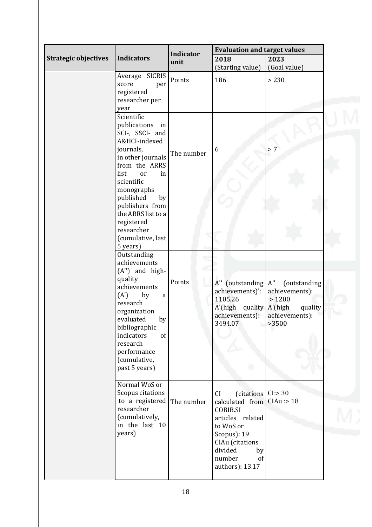|                             |                                                                                                                                                                                                                                                                                   | <b>Indicator</b> | <b>Evaluation and target values</b>                                                                                                                                                     |                                                                               |  |
|-----------------------------|-----------------------------------------------------------------------------------------------------------------------------------------------------------------------------------------------------------------------------------------------------------------------------------|------------------|-----------------------------------------------------------------------------------------------------------------------------------------------------------------------------------------|-------------------------------------------------------------------------------|--|
| <b>Strategic objectives</b> | <b>Indicators</b>                                                                                                                                                                                                                                                                 | unit             | 2018<br>(Starting value)                                                                                                                                                                | 2023<br>(Goal value)                                                          |  |
|                             | Average SICRIS<br>score<br>per<br>registered<br>researcher per<br>year                                                                                                                                                                                                            | Points           | 186                                                                                                                                                                                     | > 230                                                                         |  |
|                             | Scientific<br>publications in<br>SCI-, SSCI- and<br>A&HCI-indexed<br>journals,<br>in other journals<br>from the ARRS<br>list<br>in<br>or<br>scientific<br>monographs<br>published<br>by<br>publishers from<br>the ARRS list to a<br>registered<br>researcher<br>(cumulative, last | The number       | 6                                                                                                                                                                                       | > 7                                                                           |  |
|                             | 5 years)<br>Outstanding<br>achievements<br>(A") and high-<br>quality<br>achievements<br>(A')<br>by<br>a<br>research<br>organization<br>evaluated<br>by<br>bibliographic<br>indicators<br>of<br>research<br>performance<br>(cumulative,<br>past 5 years)                           | Points           | A" (outstanding A"<br>achievements)':<br>1105.26<br>$A'$ (high quality $A'$ (high<br>achievements):<br>3494.07                                                                          | (outstanding<br>achievements):<br>>1200<br>quality<br>achievements):<br>>3500 |  |
|                             | Normal WoS or<br>Scopus citations<br>to a registered<br>researcher<br>(cumulatively,<br>in the last 10<br>years)                                                                                                                                                                  | The number       | (citations   CI:> 30<br>CI<br>calculated from<br><b>COBIB.SI</b><br>articles related<br>to WoS or<br>Scopus): 19<br>CIAu (citations<br>divided<br>by<br>number<br>of<br>authors): 13.17 | CIAu : > 18                                                                   |  |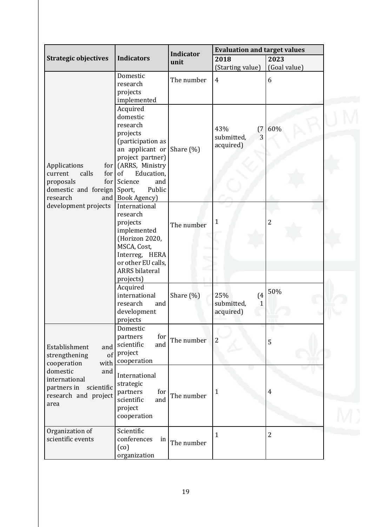|                                                                                                                                |                                                                                                                                                                                                                        |                          | <b>Evaluation and target values</b>        |                      |  |
|--------------------------------------------------------------------------------------------------------------------------------|------------------------------------------------------------------------------------------------------------------------------------------------------------------------------------------------------------------------|--------------------------|--------------------------------------------|----------------------|--|
| <b>Strategic objectives</b>                                                                                                    | <b>Indicators</b>                                                                                                                                                                                                      | <b>Indicator</b><br>unit | 2018<br>(Starting value)                   | 2023<br>(Goal value) |  |
|                                                                                                                                | Domestic<br>research<br>projects<br>implemented                                                                                                                                                                        | The number               | 4                                          | 6                    |  |
| Applications<br>for<br>current<br>calls<br>for<br>for<br>proposals<br>domestic and foreign<br>research<br>development projects | Acquired<br>domestic<br>research<br>projects<br>(participation as<br>an applicant or Share $(\%)$<br>project partner)<br>(ARRS, Ministry<br>Education,<br>of<br>Science<br>and<br>Public<br>Sport,<br>and Book Agency) |                          | 43%<br>(7)<br>3<br>submitted,<br>acquired) | 60%                  |  |
|                                                                                                                                | International<br>research<br>projects<br>implemented<br>(Horizon 2020,<br>MSCA, Cost,<br>Interreg, HERA<br>or other EU calls,<br><b>ARRS</b> bilateral<br>projects)                                                    | The number               | 1                                          | $\overline{2}$       |  |
|                                                                                                                                | Acquired<br>international<br>research<br>and<br>development<br>projects                                                                                                                                                | Share $(\%)$             | 25%<br>(4)<br>submitted,<br>1<br>acquired) | 50%                  |  |
| Establishment<br>and<br>of<br>strengthening<br>cooperation<br>with                                                             | Domestic<br>partners<br>for<br>and<br>scientific<br>project<br>cooperation                                                                                                                                             | The number               | $\overline{2}$                             | 5                    |  |
| domestic<br>and<br>international<br>partners in scientific<br>research and project<br>area                                     | International<br>strategic<br>partners<br>for<br>scientific<br>and<br>project<br>cooperation                                                                                                                           | The number               | 1                                          | $\overline{4}$       |  |
| Organization of<br>scientific events                                                                                           | Scientific<br>conferences<br>in<br>(c <sub>0</sub> )<br>organization                                                                                                                                                   | The number               | $\mathbf 1$                                | $\overline{2}$       |  |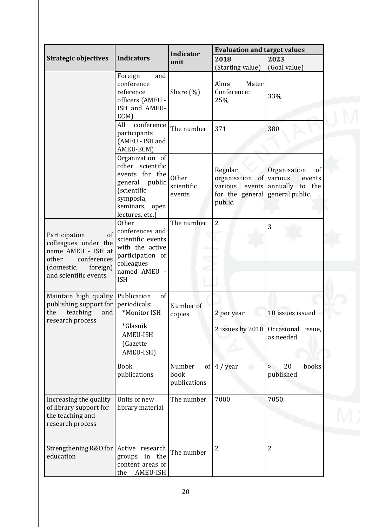|                                                                                                                                              |                                                                                                                                             |                                      | <b>Evaluation and target values</b>                                                   |                                                                     |  |
|----------------------------------------------------------------------------------------------------------------------------------------------|---------------------------------------------------------------------------------------------------------------------------------------------|--------------------------------------|---------------------------------------------------------------------------------------|---------------------------------------------------------------------|--|
| <b>Strategic objectives</b>                                                                                                                  | <b>Indicators</b>                                                                                                                           | <b>Indicator</b><br>unit             | 2018<br>(Starting value)                                                              | 2023<br>(Goal value)                                                |  |
|                                                                                                                                              | Foreign<br>and<br>conference<br>reference<br>officers (AMEU -<br>ISH and AMEU-<br>ECM)                                                      | Share $(\%)$                         | Alma<br>Mater<br>Conference:<br>25%                                                   | 33%                                                                 |  |
|                                                                                                                                              | conference<br>All<br>participants<br>(AMEU - ISH and<br>AMEU-ECM)                                                                           | The number                           | 371                                                                                   | 380                                                                 |  |
|                                                                                                                                              | Organization of<br>other scientific<br>events for the<br>general<br>public<br>(scientific<br>symposia,<br>seminars, open<br>lectures, etc.) | Other<br>scientific<br>events        | Regular<br>organisation of various<br>various<br>events<br>for the general<br>public. | Organisation<br>of<br>events<br>annually to the<br>general public.  |  |
| of<br>Participation<br>colleagues under the<br>name AMEU - ISH at<br>conferences<br>other<br>(domestic,<br>foreign)<br>and scientific events | <b>Other</b><br>conferences and<br>scientific events<br>with the active<br>participation of<br>colleagues<br>named AMEU -<br><b>ISH</b>     | The number                           | $\overline{2}$                                                                        | 3                                                                   |  |
| Maintain high quality<br>publishing support for<br>teaching<br>the<br>and<br>research process                                                | of<br>Publication<br>periodicals:<br>*Monitor ISH<br>*Glasnik<br><b>AMEU-ISH</b><br>(Gazette<br>AMEU-ISH)                                   | Number of<br>copies                  | 2 per year                                                                            | 10 issues issued<br>2 issues by 2018 Occasional issue,<br>as needed |  |
|                                                                                                                                              | <b>Book</b><br>publications                                                                                                                 | Number<br>of<br>book<br>publications | $4$ / year<br>o                                                                       | 20<br>$\geq$<br>books<br>published                                  |  |
| Increasing the quality<br>of library support for<br>the teaching and<br>research process                                                     | Units of new<br>library material                                                                                                            | The number                           | 7000                                                                                  | 7050                                                                |  |
| Strengthening R&D for<br>education                                                                                                           | Active research<br>groups in the<br>content areas of<br>AMEU-ISH<br>the                                                                     | The number                           | 2                                                                                     | $\overline{2}$                                                      |  |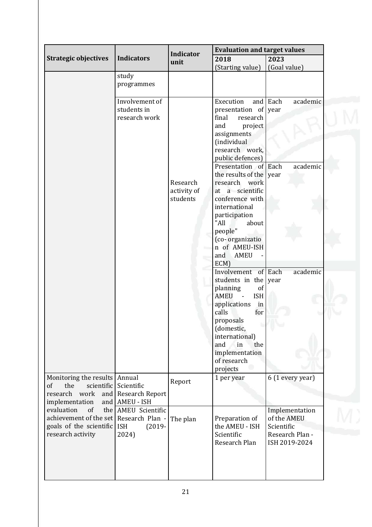|                                 |                               |                          | <b>Evaluation and target values</b>       |                                  |  |
|---------------------------------|-------------------------------|--------------------------|-------------------------------------------|----------------------------------|--|
| <b>Strategic objectives</b>     | <b>Indicators</b>             | <b>Indicator</b><br>unit | 2023<br>2018                              |                                  |  |
|                                 |                               |                          | (Starting value)                          | (Goal value)                     |  |
|                                 | study                         |                          |                                           |                                  |  |
|                                 | programmes                    |                          |                                           |                                  |  |
|                                 |                               |                          |                                           |                                  |  |
|                                 | Involvement of<br>students in |                          | Execution<br>and                          | Each<br>academic                 |  |
|                                 | research work                 |                          | presentation of<br>final<br>research      | year                             |  |
|                                 |                               |                          | and<br>project                            |                                  |  |
|                                 |                               |                          | assignments                               |                                  |  |
|                                 |                               |                          | (individual                               |                                  |  |
|                                 |                               |                          | research work,                            |                                  |  |
|                                 |                               |                          | public defences)                          |                                  |  |
|                                 |                               |                          | Presentation of Each                      | academic                         |  |
|                                 |                               |                          | the results of the vear                   |                                  |  |
|                                 |                               | Research                 | research work<br>at a scientific          |                                  |  |
|                                 |                               | activity of<br>students  | conference with                           |                                  |  |
|                                 |                               |                          | international                             |                                  |  |
|                                 |                               |                          | participation                             |                                  |  |
|                                 |                               |                          | "All<br>about                             |                                  |  |
|                                 |                               |                          | people"                                   |                                  |  |
|                                 |                               |                          | (co-organizatio                           |                                  |  |
|                                 |                               |                          | n of AMEU-ISH                             |                                  |  |
|                                 |                               |                          | and<br><b>AMEU</b>                        |                                  |  |
|                                 |                               |                          | ECM)                                      |                                  |  |
|                                 |                               |                          | Involvement of Each                       | academic                         |  |
|                                 |                               |                          | students in the year<br>planning<br>of    |                                  |  |
|                                 |                               |                          | <b>AMEU</b><br><b>ISH</b><br>$\mathbf{r}$ |                                  |  |
|                                 |                               |                          | applications<br>in                        |                                  |  |
|                                 |                               |                          | calls<br>for                              |                                  |  |
|                                 |                               |                          | proposals                                 |                                  |  |
|                                 |                               |                          | (domestic,                                |                                  |  |
|                                 |                               |                          | international)                            |                                  |  |
|                                 |                               |                          | and<br>in<br>the                          |                                  |  |
|                                 |                               |                          | implementation<br>of research             |                                  |  |
|                                 |                               |                          | projects                                  |                                  |  |
| Monitoring the results   Annual |                               |                          | 1 per year                                | 6 (1 every year)                 |  |
| the<br>scientific<br>of         | Scientific                    | Report                   |                                           |                                  |  |
| research work<br>and            | <b>Research Report</b>        |                          |                                           |                                  |  |
| implementation<br>and           | <b>AMEU - ISH</b>             |                          |                                           |                                  |  |
| evaluation<br>of                | the AMEU Scientific           |                          |                                           | Implementation                   |  |
| achievement of the set          | Research Plan -               | The plan                 | Preparation of                            | of the AMEU                      |  |
| goals of the scientific         | <b>ISH</b><br>$(2019 -$       |                          | the AMEU - ISH                            | Scientific                       |  |
| research activity               | 2024)                         |                          | Scientific<br>Research Plan               | Research Plan -<br>ISH 2019-2024 |  |
|                                 |                               |                          |                                           |                                  |  |
|                                 |                               |                          |                                           |                                  |  |
|                                 |                               |                          |                                           |                                  |  |
|                                 |                               |                          |                                           |                                  |  |
|                                 |                               |                          |                                           |                                  |  |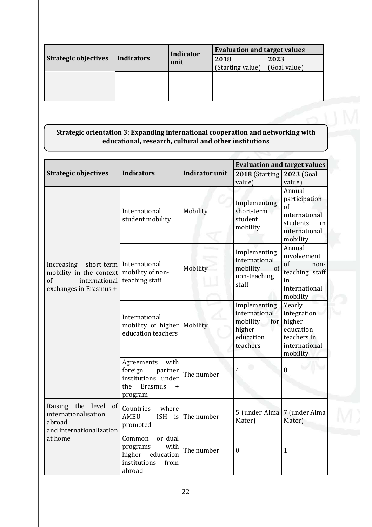| <b>Strategic objectives</b><br><b>Indicators</b> |  | <b>Indicator</b><br>unit | <b>Evaluation and target values</b> |      |  |
|--------------------------------------------------|--|--------------------------|-------------------------------------|------|--|
|                                                  |  |                          | 2018                                | 2023 |  |
|                                                  |  | (Starting value)         | (Goal value)                        |      |  |
|                                                  |  |                          |                                     |      |  |
|                                                  |  |                          |                                     |      |  |
|                                                  |  |                          |                                     |      |  |
|                                                  |  |                          |                                     |      |  |

### **Strategic orientation 3: Expanding international cooperation and networking with educational, research, cultural and other institutions**

|                                                                                         |                                                                                                    |                       | <b>Evaluation and target values</b>                                                 |                                                                                               |  |
|-----------------------------------------------------------------------------------------|----------------------------------------------------------------------------------------------------|-----------------------|-------------------------------------------------------------------------------------|-----------------------------------------------------------------------------------------------|--|
| <b>Strategic objectives</b>                                                             | <b>Indicators</b>                                                                                  | <b>Indicator unit</b> | 2018 (Starting<br>value)                                                            | 2023 (Goal<br>value)                                                                          |  |
|                                                                                         | International<br>student mobility                                                                  | Mobility              | Implementing<br>short-term<br>student<br>mobility                                   | Annual<br>participation<br>of<br>international<br>students<br>in<br>international<br>mobility |  |
| Increasing<br>mobility in the context<br>of<br>international<br>exchanges in Erasmus +  | short-term International<br>mobility of non-<br>teaching staff                                     | Mobility              | Implementing<br>international<br>mobility<br>$-$ of<br>non-teaching<br>staff        | Annual<br>involvement<br>of<br>non-<br>teaching staff<br>in<br>international<br>mobility      |  |
|                                                                                         | International<br>mobility of higher<br>education teachers                                          | Mobility              | Implementing<br>international<br>mobility<br>for<br>higher<br>education<br>teachers | Yearly<br>integration<br>higher<br>education<br>teachers in<br>international<br>mobility      |  |
|                                                                                         | Agreements<br>with<br>foreign<br>partner<br>institutions under<br>Erasmus<br>the<br>$+$<br>program | The number            | 4                                                                                   | 8                                                                                             |  |
| Raising the level<br>of I<br>internationalisation<br>abroad<br>and internationalization | Countries<br>where<br>AMEU<br>$\sim 10^{-1}$<br>promoted                                           | ISH is The number     | 5 (under Alma<br>Mater)                                                             | 7 (under Alma<br>Mater)                                                                       |  |
| at home                                                                                 | Common<br>or. dual<br>with<br>programs<br>higher<br>education<br>institutions<br>from<br>abroad    | The number            | $\boldsymbol{0}$                                                                    | $\mathbf{1}$                                                                                  |  |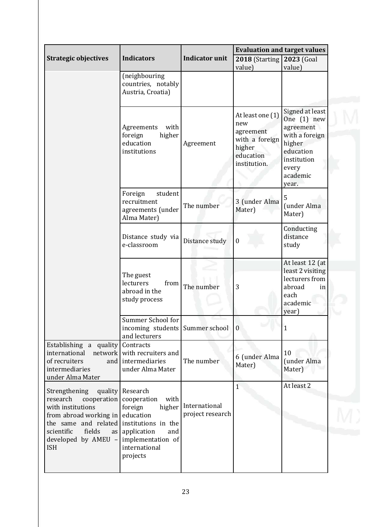|                                                                                                                                                                                                                     |                                                                                                                                           |                                   | <b>Evaluation and target values</b>                                                           |                                                                                                                                     |
|---------------------------------------------------------------------------------------------------------------------------------------------------------------------------------------------------------------------|-------------------------------------------------------------------------------------------------------------------------------------------|-----------------------------------|-----------------------------------------------------------------------------------------------|-------------------------------------------------------------------------------------------------------------------------------------|
| <b>Strategic objectives</b>                                                                                                                                                                                         | <b>Indicators</b>                                                                                                                         | <b>Indicator unit</b>             | 2018 (Starting                                                                                | 2023 (Goal                                                                                                                          |
|                                                                                                                                                                                                                     | (neighbouring<br>countries, notably<br>Austria, Croatia)                                                                                  |                                   | value)                                                                                        | value)                                                                                                                              |
|                                                                                                                                                                                                                     | Agreements<br>with<br>higher<br>foreign<br>education<br>institutions                                                                      | Agreement                         | At least one (1)<br>new<br>agreement<br>with a foreign<br>higher<br>education<br>institution. | Signed at least<br>One $(1)$ new<br>agreement<br>with a foreign<br>higher<br>education<br>institution<br>every<br>academic<br>year. |
|                                                                                                                                                                                                                     | student<br>Foreign<br>recruitment<br>agreements (under<br>Alma Mater)                                                                     | The number                        | 3 (under Alma<br>Mater)                                                                       | 5<br>(under Alma<br>Mater)                                                                                                          |
|                                                                                                                                                                                                                     | Distance study via<br>e-classroom                                                                                                         | Distance study                    | $\boldsymbol{0}$                                                                              | Conducting<br>distance<br>study                                                                                                     |
|                                                                                                                                                                                                                     | The guest<br>lecturers<br>from<br>abroad in the<br>study process                                                                          | The number                        | 3                                                                                             | At least 12 (at<br>least 2 visiting<br>lecturers from<br>abroad<br>in<br>each<br>academic<br>year)                                  |
|                                                                                                                                                                                                                     | Summer School for<br>incoming students Summer school<br>and lecturers                                                                     |                                   | $\overline{0}$                                                                                | $\mathbf{1}$                                                                                                                        |
| Establishing a quality<br>international<br>network<br>of recruiters<br>and<br>intermediaries<br>under Alma Mater                                                                                                    | Contracts<br>with recruiters and<br>intermediaries<br>under Alma Mater                                                                    | The number                        | 6 (under Alma<br>Mater)                                                                       | 10<br>(under Alma<br>Mater)                                                                                                         |
| Strengthening<br>quality<br>research<br>cooperation<br>with institutions<br>from abroad working in<br>the same and related institutions in the<br>scientific<br>fields<br>as I<br>developed by AMEU -<br><b>ISH</b> | Research<br>cooperation<br>with<br>foreign<br>higher<br>education<br>application<br>and<br>implementation of<br>international<br>projects | International<br>project research | $\mathbf{1}$                                                                                  | At least 2                                                                                                                          |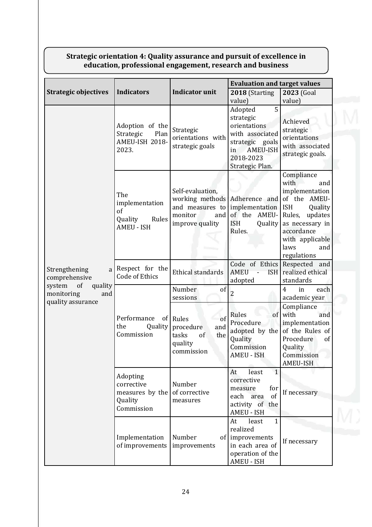### **Strategic orientation 4: Quality assurance and pursuit of excellence in education, professional engagement, research and business**

|                                                     |                                                                      |                                                                                                             | <b>Evaluation and target values</b>                                                                                                      |                                                                                                                                                                                          |  |
|-----------------------------------------------------|----------------------------------------------------------------------|-------------------------------------------------------------------------------------------------------------|------------------------------------------------------------------------------------------------------------------------------------------|------------------------------------------------------------------------------------------------------------------------------------------------------------------------------------------|--|
| <b>Strategic objectives</b>                         | <b>Indicators</b>                                                    | <b>Indicator unit</b>                                                                                       | 2018 (Starting<br>value)                                                                                                                 | 2023 (Goal<br>value)                                                                                                                                                                     |  |
|                                                     | Adoption of the<br>Strategic<br>Plan<br>AMEU-ISH 2018-<br>2023.      | Strategic<br>orientations with<br>strategic goals                                                           | 5<br>Adopted<br>strategic<br>orientations<br>with associated<br>strategic goals<br><b>AMEU-ISH</b><br>in<br>2018-2023<br>Strategic Plan. | Achieved<br>strategic<br>orientations<br>with associated<br>strategic goals.                                                                                                             |  |
|                                                     | The<br>implementation<br>of<br>Rules<br>Quality<br><b>AMEU - ISH</b> | Self-evaluation,<br>working methods Adherence and<br>and measures to<br>monitor<br>and  <br>improve quality | implementation<br>of the AMEU-<br><b>ISH</b><br>Quality<br>Rules.                                                                        | Compliance<br>with<br>and<br>implementation<br>of the AMEU-<br><b>ISH</b><br>Quality<br>Rules, updates<br>as necessary in<br>accordance<br>with applicable<br>laws<br>and<br>regulations |  |
| Strengthening<br>a<br>comprehensive<br>of<br>system | Respect for the<br>Code of Ethics                                    | <b>Ethical standards</b>                                                                                    | Code of Ethics<br><b>AMEU</b><br><b>ISH</b><br>adopted                                                                                   | Respected and<br>realized ethical<br>standards                                                                                                                                           |  |
| quality<br>monitoring<br>and                        |                                                                      | Number<br>of<br>sessions                                                                                    | $\overline{2}$                                                                                                                           | $\overline{4}$<br>each<br>in<br>academic year                                                                                                                                            |  |
| quality assurance                                   | Performance<br>of  <br>the<br>Quality<br>Commission                  | Rules<br>of<br>procedure<br>and<br>of<br>tasks<br>the<br>quality<br>commission                              | Rules<br>of<br>Procedure<br>adopted by the<br>Quality<br>Commission<br><b>AMEU - ISH</b>                                                 | Compliance<br>with<br>and<br>implementation<br>of the Rules of<br>Procedure<br>of<br>Quality<br>Commission<br>AMEU-ISH                                                                   |  |
|                                                     | Adopting<br>corrective<br>measures by the<br>Quality<br>Commission   | Number<br>of corrective<br>measures                                                                         | $\mathbf{1}$<br>least<br>At<br>corrective<br>for<br>measure<br>of<br>each<br>area<br>activity of the<br><b>AMEU - ISH</b>                | If necessary                                                                                                                                                                             |  |
|                                                     | Implementation<br>of improvements                                    | Number<br>improvements                                                                                      | At<br>$\mathbf{1}$<br>least<br>realized<br>of improvements<br>in each area of<br>operation of the<br>AMEU - ISH                          | If necessary                                                                                                                                                                             |  |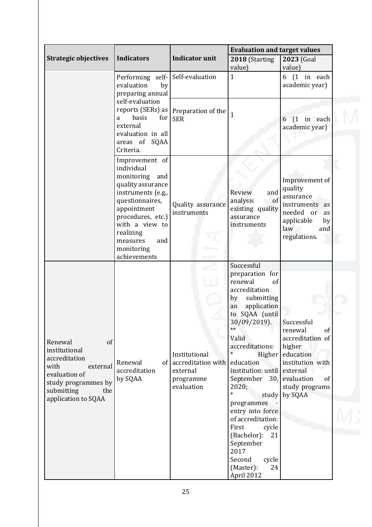|                                                                                                                                                         |                                                                                                                                                                                                                                     |                                                                                | <b>Evaluation and target values</b>                                                                                                                                                                                                                                                                                                                                                                                                                          |                                                                                                                                                         |
|---------------------------------------------------------------------------------------------------------------------------------------------------------|-------------------------------------------------------------------------------------------------------------------------------------------------------------------------------------------------------------------------------------|--------------------------------------------------------------------------------|--------------------------------------------------------------------------------------------------------------------------------------------------------------------------------------------------------------------------------------------------------------------------------------------------------------------------------------------------------------------------------------------------------------------------------------------------------------|---------------------------------------------------------------------------------------------------------------------------------------------------------|
| <b>Strategic objectives</b>                                                                                                                             | <b>Indicators</b>                                                                                                                                                                                                                   | <b>Indicator unit</b>                                                          | 2018 (Starting<br>value)                                                                                                                                                                                                                                                                                                                                                                                                                                     | 2023 (Goal<br>value)                                                                                                                                    |
|                                                                                                                                                         | Performing self- Self-evaluation<br>evaluation<br>by<br>preparing annual                                                                                                                                                            |                                                                                | $\mathbf{1}$                                                                                                                                                                                                                                                                                                                                                                                                                                                 | $6(1)$ in each<br>academic year)                                                                                                                        |
|                                                                                                                                                         | self-evaluation<br>basis<br>a<br>external<br>evaluation in all<br>areas of SQAA<br>Criteria.                                                                                                                                        | reports (SERs) as $ $ Preparation of the $ $<br>for <sub>l</sub><br><b>SER</b> | $\mathbf{1}$                                                                                                                                                                                                                                                                                                                                                                                                                                                 | $(1$ in each<br>6<br>academic year)                                                                                                                     |
|                                                                                                                                                         | Improvement of<br>individual<br>monitoring<br>and<br>quality assurance<br>instruments (e.g.,<br>questionnaires,<br>appointment<br>procedures, etc.)<br>with a view to<br>realizing<br>measures<br>and<br>monitoring<br>achievements | Quality assurance<br>instruments                                               | and<br>Review<br>analysis<br>of<br>existing quality<br>assurance<br>instruments                                                                                                                                                                                                                                                                                                                                                                              | Improvement of<br>quality<br>assurance<br>instruments<br>as<br>needed or<br>as<br>applicable<br>by<br>law<br>and<br>regulations.                        |
| Renewal<br>of<br>institutional<br>accreditation<br>with<br>external<br>evaluation of<br>study programmes by<br>submitting<br>the<br>application to SQAA | Renewal<br>accreditation<br>by SQAA                                                                                                                                                                                                 | Institutional<br>of accreditation with<br>external<br>programme<br>evaluation  | Successful<br>preparation for<br>renewal<br>of<br>accreditation<br>submitting<br>by<br>application<br>an<br>to SQAA (until<br>30/09/2019).<br>$**$<br>Valid<br>accreditations:<br>$\ast$<br>Higher<br>education<br>institution: until<br>September<br>30,<br>2020;<br>$\ast$<br>study<br>programmes<br>entry into force<br>of accreditation:<br>First<br>cycle<br>(Bachelor):<br>21<br>September<br>2017<br>Second<br>cycle<br>(Master):<br>24<br>April 2012 | Successful<br>renewal<br>of<br>accreditation of<br>higher<br>education<br>institution with<br>external<br>evaluation<br>of<br>study programs<br>by SQAA |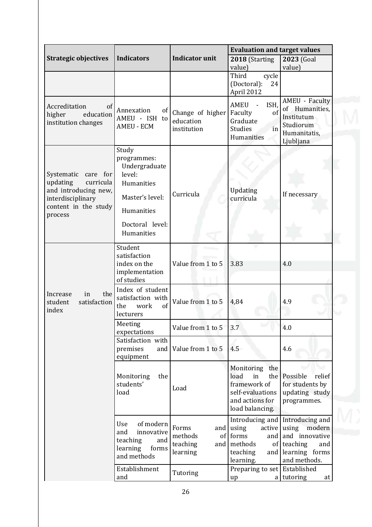|                                                                                                                                 |                                                                                                                                 |                                                         | <b>Evaluation and target values</b>                                                                           |                                                                                                           |  |
|---------------------------------------------------------------------------------------------------------------------------------|---------------------------------------------------------------------------------------------------------------------------------|---------------------------------------------------------|---------------------------------------------------------------------------------------------------------------|-----------------------------------------------------------------------------------------------------------|--|
| <b>Strategic objectives</b>                                                                                                     | <b>Indicators</b>                                                                                                               | <b>Indicator unit</b>                                   | 2018 (Starting                                                                                                | 2023 (Goal                                                                                                |  |
|                                                                                                                                 |                                                                                                                                 |                                                         | value)<br>Third<br>cycle                                                                                      | value)                                                                                                    |  |
|                                                                                                                                 |                                                                                                                                 |                                                         | (Doctoral):<br>24<br>April 2012                                                                               |                                                                                                           |  |
| Accreditation<br>of<br>education<br>higher<br>institution changes                                                               | Annexation<br><sub>of</sub><br>AMEU - ISH to<br><b>AMEU - ECM</b>                                                               | Change of higher<br>education<br>institution            | <b>AMEU</b><br>ISH.<br>Faculty<br>of<br>Graduate<br><b>Studies</b><br>in<br>Humanities                        | <b>AMEU - Faculty</b><br>of Humanities,<br>Institutum<br>Studiorum<br>Humanitatis,<br>Ljubljana           |  |
| Systematic<br>care for<br>updating<br>curricula<br>and introducing new,<br>interdisciplinary<br>content in the study<br>process | Study<br>programmes:<br>Undergraduate<br>level:<br>Humanities<br>Master's level:<br>Humanities<br>Doctoral level:<br>Humanities | Curricula                                               | Updating<br>curricula                                                                                         | If necessary                                                                                              |  |
|                                                                                                                                 | Student<br>satisfaction<br>index on the<br>implementation<br>of studies                                                         | Value from 1 to 5                                       | 3.83                                                                                                          | 4.0                                                                                                       |  |
| the<br>Increase<br>in<br>satisfaction<br>student<br>index                                                                       | Index of student<br>satisfaction with<br>the<br>work<br>of<br>lecturers                                                         | Value from 1 to 5                                       | 4,84                                                                                                          | 4.9                                                                                                       |  |
|                                                                                                                                 | Meeting<br>expectations                                                                                                         | Value from 1 to 5                                       | 3.7                                                                                                           | 4.0                                                                                                       |  |
|                                                                                                                                 | Satisfaction with<br>premises<br>and<br>equipment                                                                               | Value from 1 to 5                                       | 4.5                                                                                                           | 4.6                                                                                                       |  |
|                                                                                                                                 | Monitoring<br>the<br>students'<br>load                                                                                          | Load                                                    | Monitoring the<br>load<br>in<br>the<br>framework of<br>self-evaluations<br>and actions for<br>load balancing. | Possible<br>relief<br>for students by<br>updating study<br>programmes.                                    |  |
|                                                                                                                                 | of modern<br>Use<br>innovative<br>and<br>teaching<br>and<br>learning<br>forms<br>and methods                                    | Forms<br>of<br>methods<br>teaching<br>and I<br>learning | Introducing and<br>and using<br>active<br>forms<br>and<br>methods<br>of  <br>teaching<br>and  <br>learning.   | Introducing and<br>using<br>modern<br>and innovative<br>teaching<br>and<br>learning forms<br>and methods. |  |
|                                                                                                                                 | Establishment<br>and                                                                                                            | Tutoring                                                | Preparing to set Established<br>up                                                                            | a tutoring<br>at                                                                                          |  |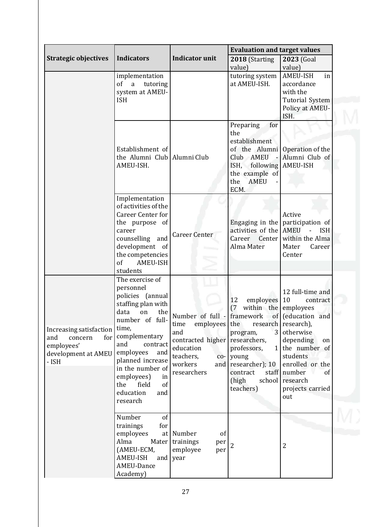|                                                                                                |                                                                                                                                                                                                                                                                                                   |                                                                                                                                                                       | <b>Evaluation and target values</b>                                                                                                                                       |                                                                                                                                                                                                                                               |
|------------------------------------------------------------------------------------------------|---------------------------------------------------------------------------------------------------------------------------------------------------------------------------------------------------------------------------------------------------------------------------------------------------|-----------------------------------------------------------------------------------------------------------------------------------------------------------------------|---------------------------------------------------------------------------------------------------------------------------------------------------------------------------|-----------------------------------------------------------------------------------------------------------------------------------------------------------------------------------------------------------------------------------------------|
| <b>Strategic objectives</b>                                                                    | <b>Indicators</b>                                                                                                                                                                                                                                                                                 | <b>Indicator unit</b>                                                                                                                                                 | 2018 (Starting<br>value)                                                                                                                                                  | 2023 (Goal<br>value)                                                                                                                                                                                                                          |
|                                                                                                | implementation<br>of<br>a<br>tutoring<br>system at AMEU-<br><b>ISH</b>                                                                                                                                                                                                                            |                                                                                                                                                                       | tutoring system<br>at AMEU-ISH.                                                                                                                                           | AMEU-ISH<br>in<br>accordance<br>with the<br><b>Tutorial System</b><br>Policy at AMEU-<br>ISH.                                                                                                                                                 |
|                                                                                                | Establishment of<br>the Alumni Club Alumni Club<br>AMEU-ISH.                                                                                                                                                                                                                                      |                                                                                                                                                                       | Preparing<br>for<br>the<br>establishment<br>of the Alumni<br>Club AMEU<br>$\sim$<br>ISH,<br>following<br>the example of<br>the<br><b>AMEU</b><br>ECM.                     | Operation of the<br>Alumni Club of<br>AMEU-ISH                                                                                                                                                                                                |
|                                                                                                | Implementation<br>of activities of the<br>Career Center for<br>the purpose of<br>career<br>counselling<br>and<br>development of<br>the competencies<br><sub>of</sub><br><b>AMEU-ISH</b><br>students                                                                                               | <b>Career Center</b>                                                                                                                                                  | Engaging in the<br>activities of the AMEU<br>Career<br>Center<br>Alma Mater                                                                                               | Active<br>participation of<br><b>ISH</b><br>within the Alma<br>Mater<br>Career<br>Center                                                                                                                                                      |
| Increasing satisfaction<br>for<br>and<br>concern<br>employees'<br>development at AMEU<br>- ISH | The exercise of<br>personnel<br>policies (annual<br>staffing plan with<br>data<br>the<br>on<br>number of full-<br>time,<br>complementary<br>and<br>contract<br>employees<br>and<br>planned increase<br>in the number of<br>employees)<br>in<br>the<br>field<br>of<br>education<br>and<br>research | Number of full - framework<br>employees the<br>time<br>and<br>contracted higher researchers,<br>education<br>teachers,<br>$\overline{co}$ -<br>workers<br>researchers | employees<br>12<br>(7)<br>within the<br>3<br>program,<br>professors,<br>$\mathbf{1}$<br>young<br>and researcher); 10<br>staff<br>contract<br>(high<br>school<br>teachers) | 12 full-time and<br>10<br>contract<br>employees<br>of (education and<br>research research),<br>otherwise<br>depending<br>on<br>the number of<br>students<br>enrolled or the<br>number<br><sub>of</sub><br>research<br>projects carried<br>out |
|                                                                                                | Number<br>of<br>trainings<br>for<br>employees<br>Alma<br>Mater<br>(AMEU-ECM,<br><b>AMEU-ISH</b><br>and  <br>AMEU-Dance<br>Academy)                                                                                                                                                                | at Number<br>of<br>trainings<br>per<br>employee<br>per<br>year                                                                                                        |                                                                                                                                                                           | $\overline{2}$                                                                                                                                                                                                                                |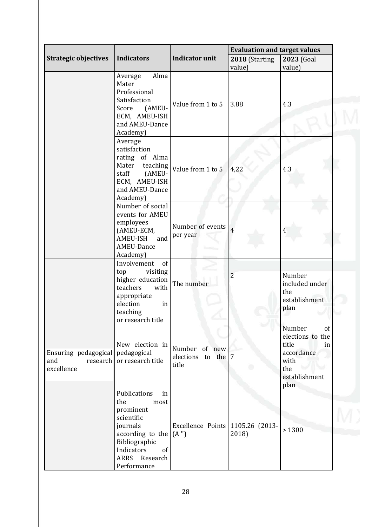|                                                       |                                                                                                                                                                      |                                              | <b>Evaluation and target values</b> |                                                                                                       |  |
|-------------------------------------------------------|----------------------------------------------------------------------------------------------------------------------------------------------------------------------|----------------------------------------------|-------------------------------------|-------------------------------------------------------------------------------------------------------|--|
| <b>Strategic objectives</b>                           | <b>Indicators</b>                                                                                                                                                    | <b>Indicator unit</b>                        | 2018 (Starting<br>value)            | 2023 (Goal<br>value)                                                                                  |  |
|                                                       | Alma<br>Average<br>Mater<br>Professional<br>Satisfaction<br>(AMEU-<br>Score<br>ECM, AMEU-ISH<br>and AMEU-Dance<br>Academy)                                           | Value from 1 to 5                            | 3.88                                | 4.3                                                                                                   |  |
|                                                       | Average<br>satisfaction<br>rating of Alma<br>Mater<br>teaching<br>staff<br>(AMEU-<br>ECM, AMEU-ISH<br>and AMEU-Dance<br>Academy)                                     | Value from 1 to 5                            | 4,22                                | 4.3                                                                                                   |  |
|                                                       | Number of social<br>events for AMEU<br>employees<br>(AMEU-ECM,<br><b>AMEU-ISH</b><br>and<br>AMEU-Dance<br>Academy)                                                   | Number of events<br>per year                 | $\overline{4}$                      | 4                                                                                                     |  |
|                                                       | Involvement<br>of<br>visiting<br>top<br>higher education<br>with<br>teachers<br>appropriate<br>election<br>in<br>teaching<br>or research title                       | The number                                   | $\overline{2}$                      | Number<br>included under<br>the<br>establishment<br>plan                                              |  |
| Ensuring pedagogical<br>research<br>and<br>excellence | New election in<br>pedagogical<br>or research title                                                                                                                  | Number of new<br>elections to the 7<br>title |                                     | Number<br>of<br>elections to the<br>title<br>in<br>accordance<br>with<br>the<br>establishment<br>plan |  |
|                                                       | Publications<br>in<br>the<br>most<br>prominent<br>scientific<br>journals<br>according to the<br>Bibliographic<br>Indicators<br>of<br>ARRS<br>Research<br>Performance | Excellence Points 1105.26 (2013-<br>(A'')    | 2018)                               | > 1300                                                                                                |  |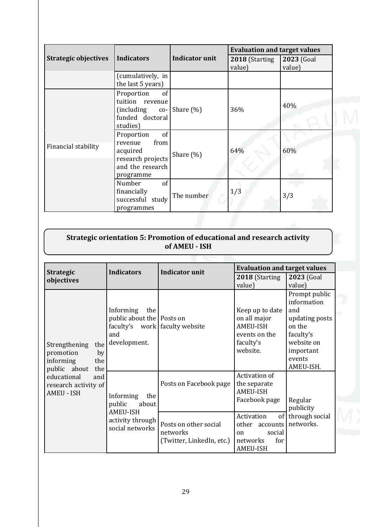|                             |                                                                                                       |                       | <b>Evaluation and target values</b> |                      |
|-----------------------------|-------------------------------------------------------------------------------------------------------|-----------------------|-------------------------------------|----------------------|
| <b>Strategic objectives</b> | <b>Indicators</b>                                                                                     | <b>Indicator unit</b> | 2018 (Starting<br>value)            | 2023 (Goal<br>value) |
|                             | (cumulatively, in<br>the last 5 years)                                                                |                       |                                     |                      |
|                             | Proportion<br>of<br>tuition revenue<br><i>(including</i><br>$co-$<br>funded doctoral<br>studies)      | Share $(\%)$          | 36%                                 | 40%                  |
| Financial stability         | Proportion<br>of<br>revenue<br>from<br>acquired<br>research projects<br>and the research<br>programme | Share (%)             | 64%                                 | 60%                  |
|                             | Number<br>of<br>financially<br>successful study<br>programmes                                         | The number            | 1/3                                 | 3/3                  |

### **Strategic orientation 5: Promotion of educational and research activity of AMEU - ISH**

| <b>Strategic</b>                                                                       | <b>Indicators</b><br><b>Indicator unit</b>                                                             |                                                                | <b>Evaluation and target values</b>                                                                    |                                                                                                                   |
|----------------------------------------------------------------------------------------|--------------------------------------------------------------------------------------------------------|----------------------------------------------------------------|--------------------------------------------------------------------------------------------------------|-------------------------------------------------------------------------------------------------------------------|
| objectives                                                                             |                                                                                                        |                                                                | 2018 (Starting                                                                                         | 2023 (Goal                                                                                                        |
|                                                                                        |                                                                                                        |                                                                | value)                                                                                                 | value)                                                                                                            |
| Strengthening<br>the<br>promotion<br>by                                                | Informing<br>the<br>public about the Posts on<br>faculty's work faculty website<br>and<br>development. |                                                                | Keep up to date<br>on all major<br>AMEU-ISH<br>events on the<br>faculty's<br>website.                  | Prompt public<br>information<br>and<br>updating posts<br>on the<br>faculty's<br>website on<br>important<br>events |
| informing<br>the                                                                       |                                                                                                        |                                                                |                                                                                                        | AMEU-ISH.                                                                                                         |
| public about<br>the<br>educational<br>and<br>research activity of<br><b>AMEU - ISH</b> | Informing<br>the<br>public<br>about<br><b>AMEU-ISH</b>                                                 | Posts on Facebook page                                         | Activation of<br>the separate<br><b>AMEU-ISH</b><br>Facebook page                                      | Regular<br>publicity                                                                                              |
|                                                                                        | activity through<br>social networks                                                                    | Posts on other social<br>networks<br>(Twitter, LinkedIn, etc.) | Activation<br>of<br>other<br>accounts<br>social<br><sub>on</sub><br>for<br>networks<br><b>AMEU-ISH</b> | through social<br>networks.                                                                                       |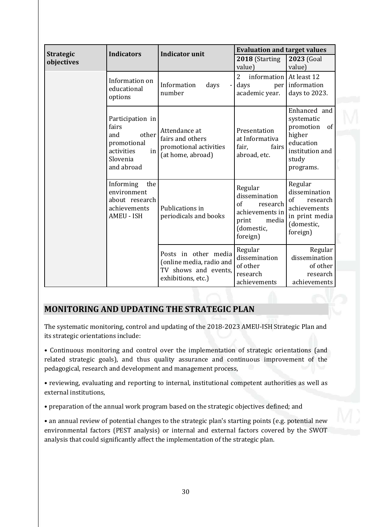| <b>Strategic</b> | <b>Indicators</b>                                                                                                                                                                          | <b>Indicator unit</b>                                                                          | <b>Evaluation and target values</b>                                                                           |                                                                                                        |  |
|------------------|--------------------------------------------------------------------------------------------------------------------------------------------------------------------------------------------|------------------------------------------------------------------------------------------------|---------------------------------------------------------------------------------------------------------------|--------------------------------------------------------------------------------------------------------|--|
| objectives       |                                                                                                                                                                                            |                                                                                                | 2018 (Starting<br>value)                                                                                      | 2023 (Goal<br>value)                                                                                   |  |
|                  | Information on<br>educational<br>options                                                                                                                                                   | Information<br>days<br>number                                                                  | $\overline{2}$<br>information At least 12<br>days<br>academic year.                                           | per information<br>days to 2023.                                                                       |  |
|                  | Participation in<br>fairs<br>Attendance at<br>other<br>and<br>fairs and others<br>promotional<br>promotional activities<br>in<br>activities<br>(at home, abroad)<br>Slovenia<br>and abroad | Presentation<br>at Informativa<br>fair,<br>fairs<br>abroad, etc.                               | Enhanced and<br>systematic<br>promotion<br>of<br>higher<br>education<br>institution and<br>study<br>programs. |                                                                                                        |  |
|                  | Informing<br>the<br>environment<br>about research<br>achievements<br><b>AMEU - ISH</b>                                                                                                     | Publications in<br>periodicals and books                                                       | Regular<br>dissemination<br>of<br>research<br>achievements in<br>print<br>media<br>(domestic,<br>foreign)     | Regular<br>dissemination<br>of<br>research<br>achievements<br>in print media<br>(domestic,<br>foreign) |  |
|                  |                                                                                                                                                                                            | Posts in other media<br>(online media, radio and<br>TV shows and events,<br>exhibitions, etc.) | Regular<br>dissemination<br>of other<br>research<br>achievements                                              | Regular<br>dissemination<br>of other<br>research<br>achievements                                       |  |

# <span id="page-29-0"></span>**MONITORING AND UPDATING THE STRATEGIC PLAN**

The systematic monitoring, control and updating of the 2018-2023 AMEU-ISH Strategic Plan and its strategic orientations include:

• Continuous monitoring and control over the implementation of strategic orientations (and related strategic goals), and thus quality assurance and continuous improvement of the pedagogical, research and development and management process,

• reviewing, evaluating and reporting to internal, institutional competent authorities as well as external institutions,

• preparation of the annual work program based on the strategic objectives defined; and

• an annual review of potential changes to the strategic plan's starting points (e.g. potential new environmental factors (PEST analysis) or internal and external factors covered by the SWOT analysis that could significantly affect the implementation of the strategic plan.